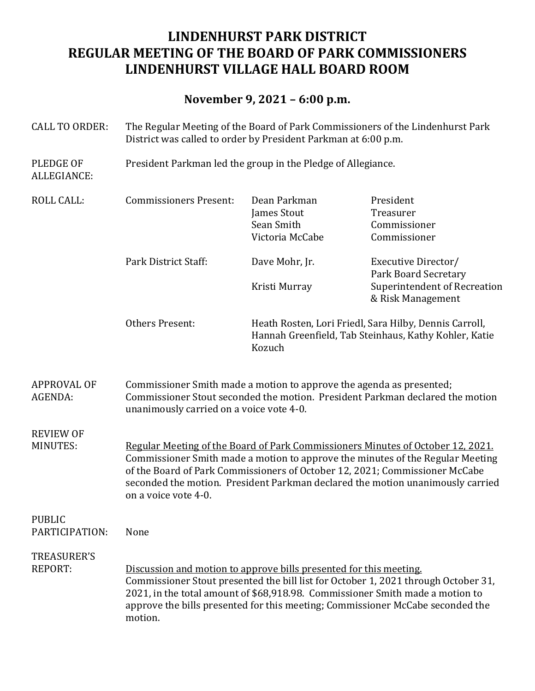# **LINDENHURST PARK DISTRICT REGULAR MEETING OF THE BOARD OF PARK COMMISSIONERS LINDENHURST VILLAGE HALL BOARD ROOM**

# **November 9, 2021 – 6:00 p.m.**

| <b>CALL TO ORDER:</b>                | The Regular Meeting of the Board of Park Commissioners of the Lindenhurst Park<br>District was called to order by President Parkman at 6:00 p.m.                                                                                                                                                                                                           |                                                                                                                           |                                                          |  |
|--------------------------------------|------------------------------------------------------------------------------------------------------------------------------------------------------------------------------------------------------------------------------------------------------------------------------------------------------------------------------------------------------------|---------------------------------------------------------------------------------------------------------------------------|----------------------------------------------------------|--|
| <b>PLEDGE OF</b><br>ALLEGIANCE:      | President Parkman led the group in the Pledge of Allegiance.                                                                                                                                                                                                                                                                                               |                                                                                                                           |                                                          |  |
| <b>ROLL CALL:</b>                    | <b>Commissioners Present:</b>                                                                                                                                                                                                                                                                                                                              | Dean Parkman<br>James Stout<br>Sean Smith<br>Victoria McCabe                                                              | President<br>Treasurer<br>Commissioner<br>Commissioner   |  |
|                                      | Park District Staff:                                                                                                                                                                                                                                                                                                                                       | Dave Mohr, Jr.                                                                                                            | Executive Director/<br><b>Park Board Secretary</b>       |  |
|                                      |                                                                                                                                                                                                                                                                                                                                                            | Kristi Murray                                                                                                             | <b>Superintendent of Recreation</b><br>& Risk Management |  |
|                                      | <b>Others Present:</b>                                                                                                                                                                                                                                                                                                                                     | Heath Rosten, Lori Friedl, Sara Hilby, Dennis Carroll,<br>Hannah Greenfield, Tab Steinhaus, Kathy Kohler, Katie<br>Kozuch |                                                          |  |
| <b>APPROVAL OF</b><br>AGENDA:        | Commissioner Smith made a motion to approve the agenda as presented;<br>Commissioner Stout seconded the motion. President Parkman declared the motion<br>unanimously carried on a voice vote 4-0.                                                                                                                                                          |                                                                                                                           |                                                          |  |
| <b>REVIEW OF</b><br><b>MINUTES:</b>  | Regular Meeting of the Board of Park Commissioners Minutes of October 12, 2021.<br>Commissioner Smith made a motion to approve the minutes of the Regular Meeting<br>of the Board of Park Commissioners of October 12, 2021; Commissioner McCabe<br>seconded the motion. President Parkman declared the motion unanimously carried<br>on a voice vote 4-0. |                                                                                                                           |                                                          |  |
| <b>PUBLIC</b><br>PARTICIPATION:      | None                                                                                                                                                                                                                                                                                                                                                       |                                                                                                                           |                                                          |  |
| <b>TREASURER'S</b><br><b>REPORT:</b> | Discussion and motion to approve bills presented for this meeting.<br>Commissioner Stout presented the bill list for October 1, 2021 through October 31,<br>2021, in the total amount of \$68,918.98. Commissioner Smith made a motion to<br>approve the bills presented for this meeting; Commissioner McCabe seconded the<br>motion.                     |                                                                                                                           |                                                          |  |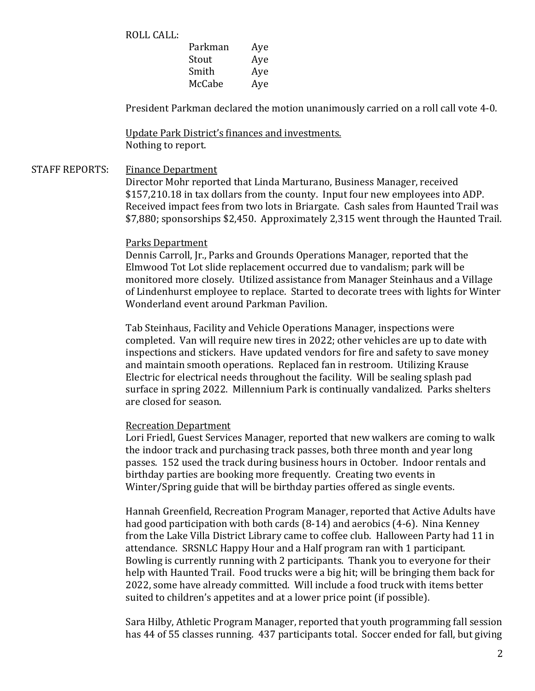ROLL CALL:

| Parkman | Aye |
|---------|-----|
| Stout   | Aye |
| Smith   | Aye |
| McCabe  | Aye |
|         |     |

President Parkman declared the motion unanimously carried on a roll call vote 4-0.

Update Park District's finances and investments. Nothing to report.

## STAFF REPORTS: Finance Department

Director Mohr reported that Linda Marturano, Business Manager, received \$157,210.18 in tax dollars from the county. Input four new employees into ADP. Received impact fees from two lots in Briargate. Cash sales from Haunted Trail was \$7,880; sponsorships \$2,450. Approximately 2,315 went through the Haunted Trail.

#### Parks Department

Dennis Carroll, Jr., Parks and Grounds Operations Manager, reported that the Elmwood Tot Lot slide replacement occurred due to vandalism; park will be monitored more closely. Utilized assistance from Manager Steinhaus and a Village of Lindenhurst employee to replace. Started to decorate trees with lights for Winter Wonderland event around Parkman Pavilion.

Tab Steinhaus, Facility and Vehicle Operations Manager, inspections were completed. Van will require new tires in 2022; other vehicles are up to date with inspections and stickers. Have updated vendors for fire and safety to save money and maintain smooth operations. Replaced fan in restroom. Utilizing Krause Electric for electrical needs throughout the facility. Will be sealing splash pad surface in spring 2022. Millennium Park is continually vandalized. Parks shelters are closed for season.

#### Recreation Department

Lori Friedl, Guest Services Manager, reported that new walkers are coming to walk the indoor track and purchasing track passes, both three month and year long passes. 152 used the track during business hours in October. Indoor rentals and birthday parties are booking more frequently. Creating two events in Winter/Spring guide that will be birthday parties offered as single events.

Hannah Greenfield, Recreation Program Manager, reported that Active Adults have had good participation with both cards  $(8-14)$  and aerobics  $(4-6)$ . Nina Kenney from the Lake Villa District Library came to coffee club. Halloween Party had 11 in attendance. SRSNLC Happy Hour and a Half program ran with 1 participant. Bowling is currently running with 2 participants. Thank you to everyone for their help with Haunted Trail. Food trucks were a big hit; will be bringing them back for 2022, some have already committed. Will include a food truck with items better suited to children's appetites and at a lower price point (if possible).

Sara Hilby, Athletic Program Manager, reported that youth programming fall session has 44 of 55 classes running. 437 participants total. Soccer ended for fall, but giving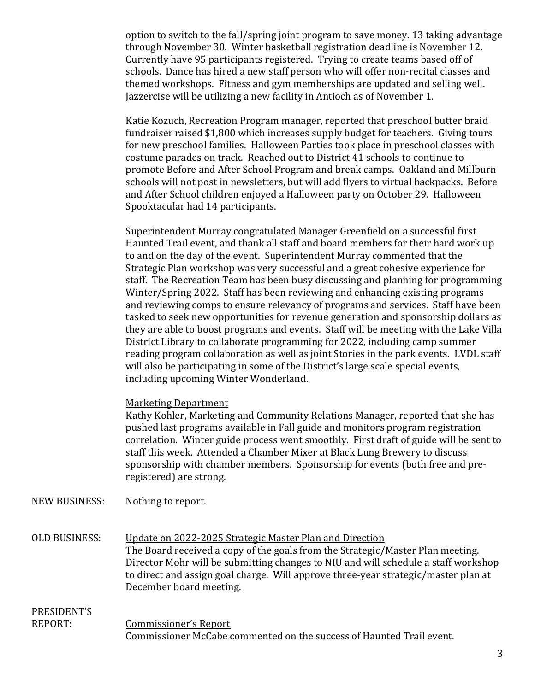option to switch to the fall/spring joint program to save money. 13 taking advantage through November 30. Winter basketball registration deadline is November 12. Currently have 95 participants registered. Trying to create teams based off of schools. Dance has hired a new staff person who will offer non-recital classes and themed workshops. Fitness and gym memberships are updated and selling well. Jazzercise will be utilizing a new facility in Antioch as of November 1.

Katie Kozuch, Recreation Program manager, reported that preschool butter braid fundraiser raised \$1,800 which increases supply budget for teachers. Giving tours for new preschool families. Halloween Parties took place in preschool classes with costume parades on track. Reached out to District 41 schools to continue to promote Before and After School Program and break camps. Oakland and Millburn schools will not post in newsletters, but will add flyers to virtual backpacks. Before and After School children enjoyed a Halloween party on October 29. Halloween Spooktacular had 14 participants.

Superintendent Murray congratulated Manager Greenfield on a successful first Haunted Trail event, and thank all staff and board members for their hard work up to and on the day of the event. Superintendent Murray commented that the Strategic Plan workshop was very successful and a great cohesive experience for staff. The Recreation Team has been busy discussing and planning for programming Winter/Spring 2022. Staff has been reviewing and enhancing existing programs and reviewing comps to ensure relevancy of programs and services. Staff have been tasked to seek new opportunities for revenue generation and sponsorship dollars as they are able to boost programs and events. Staff will be meeting with the Lake Villa District Library to collaborate programming for 2022, including camp summer reading program collaboration as well as joint Stories in the park events. LVDL staff will also be participating in some of the District's large scale special events, including upcoming Winter Wonderland.

#### **Marketing Department**

Kathy Kohler, Marketing and Community Relations Manager, reported that she has pushed last programs available in Fall guide and monitors program registration correlation. Winter guide process went smoothly. First draft of guide will be sent to staff this week. Attended a Chamber Mixer at Black Lung Brewery to discuss sponsorship with chamber members. Sponsorship for events (both free and preregistered) are strong.

NEW BUSINESS: Nothing to report.

OLD BUSINESS: Update on 2022-2025 Strategic Master Plan and Direction The Board received a copy of the goals from the Strategic/Master Plan meeting. Director Mohr will be submitting changes to NIU and will schedule a staff workshop to direct and assign goal charge. Will approve three-year strategic/master plan at December board meeting.

#### PRESIDENT'S REPORT: Commissioner's Report

Commissioner McCabe commented on the success of Haunted Trail event.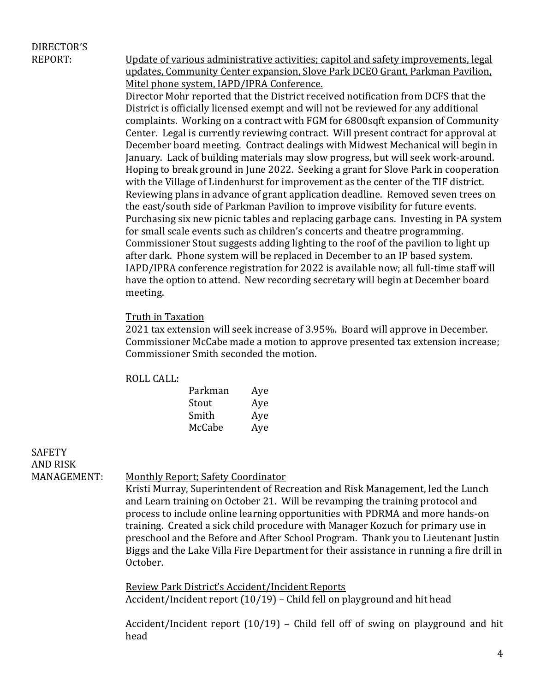# DIRECTOR'S

REPORT: Update of various administrative activities; capitol and safety improvements, legal updates, Community Center expansion, Slove Park DCEO Grant, Parkman Pavilion, Mitel phone system, IAPD/IPRA Conference.

Director Mohr reported that the District received notification from DCFS that the District is officially licensed exempt and will not be reviewed for any additional complaints. Working on a contract with FGM for 6800sqft expansion of Community Center. Legal is currently reviewing contract. Will present contract for approval at December board meeting. Contract dealings with Midwest Mechanical will begin in January. Lack of building materials may slow progress, but will seek work-around. Hoping to break ground in June 2022. Seeking a grant for Slove Park in cooperation with the Village of Lindenhurst for improvement as the center of the TIF district. Reviewing plans in advance of grant application deadline. Removed seven trees on the east/south side of Parkman Pavilion to improve visibility for future events. Purchasing six new picnic tables and replacing garbage cans. Investing in PA system for small scale events such as children's concerts and theatre programming. Commissioner Stout suggests adding lighting to the roof of the pavilion to light up after dark. Phone system will be replaced in December to an IP based system. IAPD/IPRA conference registration for 2022 is available now; all full-time staff will have the option to attend. New recording secretary will begin at December board meeting. 

#### Truth in Taxation

2021 tax extension will seek increase of 3.95%. Board will approve in December. Commissioner McCabe made a motion to approve presented tax extension increase; Commissioner Smith seconded the motion.

#### ROLL CALL:

| Parkman | Aye |
|---------|-----|
| Stout   | Aye |
| Smith   | Aye |
| McCabe  | Aye |

**SAFETY** AND RISK

MANAGEMENT: Monthly Report; Safety Coordinator

Kristi Murray, Superintendent of Recreation and Risk Management, led the Lunch and Learn training on October 21. Will be revamping the training protocol and process to include online learning opportunities with PDRMA and more hands-on training. Created a sick child procedure with Manager Kozuch for primary use in preschool and the Before and After School Program. Thank you to Lieutenant Justin Biggs and the Lake Villa Fire Department for their assistance in running a fire drill in October.

Review Park District's Accident/Incident Reports Accident/Incident report  $(10/19)$  – Child fell on playground and hit head

Accident/Incident report  $(10/19)$  – Child fell off of swing on playground and hit head